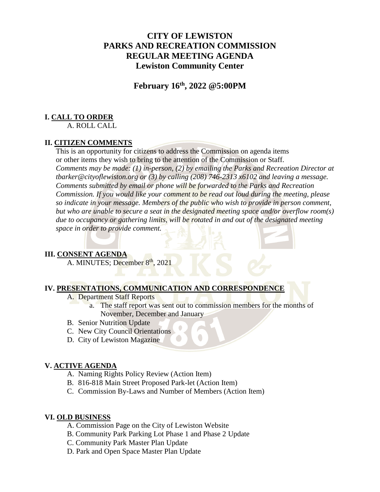# **CITY OF LEWISTON PARKS AND RECREATION COMMISSION REGULAR MEETING AGENDA Lewiston Community Center**

**February 16th, 2022 @5:00PM**

## **I. CALL TO ORDER**

A. ROLL CALL

## **II. CITIZEN COMMENTS**

This is an opportunity for citizens to address the Commission on agenda items or other items they wish to bring to the attention of the Commission or Staff. *Comments may be made: (1) in-person, (2) by emailing the Parks and Recreation Director at tbarker@cityoflewiston.org or (3) by calling (208) 746-2313 x6102 and leaving a message. Comments submitted by email or phone will be forwarded to the Parks and Recreation Commission. If you would like your comment to be read out loud during the meeting, please so indicate in your message. Members of the public who wish to provide in person comment, but who are unable to secure a seat in the designated meeting space and/or overflow room(s) due to occupancy or gathering limits, will be rotated in and out of the designated meeting space in order to provide comment.* 

## **III. CONSENT AGENDA**

A. MINUTES; December 8<sup>th</sup>, 2021

### **IV. PRESENTATIONS, COMMUNICATION AND CORRESPONDENCE**

- A. Department Staff Reports
	- a. The staff report was sent out to commission members for the months of November, December and January
- B. Senior Nutrition Update
- C. New City Council Orientations
- D. City of Lewiston Magazine

## **V. ACTIVE AGENDA**

- A. Naming Rights Policy Review (Action Item)
- B. 816-818 Main Street Proposed Park-let (Action Item)
- C. Commission By-Laws and Number of Members (Action Item)

#### **VI. OLD BUSINESS**

- A. Commission Page on the City of Lewiston Website
- B. Community Park Parking Lot Phase 1 and Phase 2 Update
- C. Community Park Master Plan Update
- D. Park and Open Space Master Plan Update